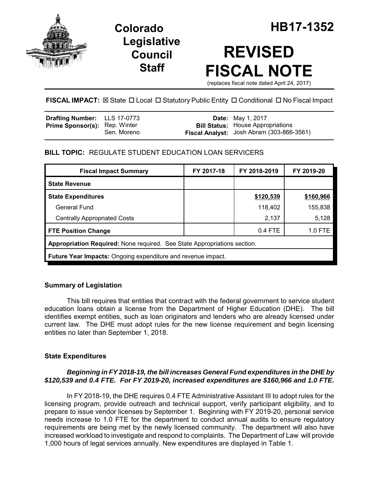

**Legislative Council Staff**

# **REVISED FISCAL NOTE**

(replaces fiscal note dated April 24, 2017)

## FISCAL IMPACT:  $\boxtimes$  State  $\Box$  Local  $\Box$  Statutory Public Entity  $\Box$  Conditional  $\Box$  No Fiscal Impact

| <b>Drafting Number:</b> LLS 17-0773  |             | <b>Date:</b> May 1, 2017                                                              |
|--------------------------------------|-------------|---------------------------------------------------------------------------------------|
| <b>Prime Sponsor(s): Rep. Winter</b> | Sen. Moreno | <b>Bill Status:</b> House Appropriations<br>Fiscal Analyst: Josh Abram (303-866-3561) |

## **BILL TOPIC:** REGULATE STUDENT EDUCATION LOAN SERVICERS

| <b>Fiscal Impact Summary</b>                                             | FY 2017-18 | FY 2018-2019 | FY 2019-20 |  |  |
|--------------------------------------------------------------------------|------------|--------------|------------|--|--|
| <b>State Revenue</b>                                                     |            |              |            |  |  |
| <b>State Expenditures</b>                                                |            | \$120,539    | \$160,966  |  |  |
| General Fund                                                             |            | 118,402      | 155,838    |  |  |
| <b>Centrally Appropriated Costs</b>                                      |            | 2,137        | 5,128      |  |  |
| <b>FTE Position Change</b>                                               |            | 0.4 FTE      | $1.0$ FTE  |  |  |
| Appropriation Required: None required. See State Appropriations section. |            |              |            |  |  |
| <b>Future Year Impacts:</b> Ongoing expenditure and revenue impact.      |            |              |            |  |  |

## **Summary of Legislation**

This bill requires that entities that contract with the federal government to service student education loans obtain a license from the Department of Higher Education (DHE). The bill identifies exempt entities, such as loan originators and lenders who are already licensed under current law. The DHE must adopt rules for the new license requirement and begin licensing entities no later than September 1, 2018.

## **State Expenditures**

#### *Beginning in FY 2018-19, the bill increases General Fund expenditures in the DHE by \$120,539 and 0.4 FTE. For FY 2019-20, increased expenditures are \$160,966 and 1.0 FTE.*

In FY 2018-19, the DHE requires 0.4 FTE Administrative Assistant III to adopt rules for the licensing program, provide outreach and technical support, verify participant eligibility, and to prepare to issue vendor licenses by September 1. Beginning with FY 2019-20, personal service needs increase to 1.0 FTE for the department to conduct annual audits to ensure regulatory requirements are being met by the newly licensed community. The department will also have increased workload to investigate and respond to complaints. The Department of Law will provide 1,000 hours of legal services annually. New expenditures are displayed in Table 1.